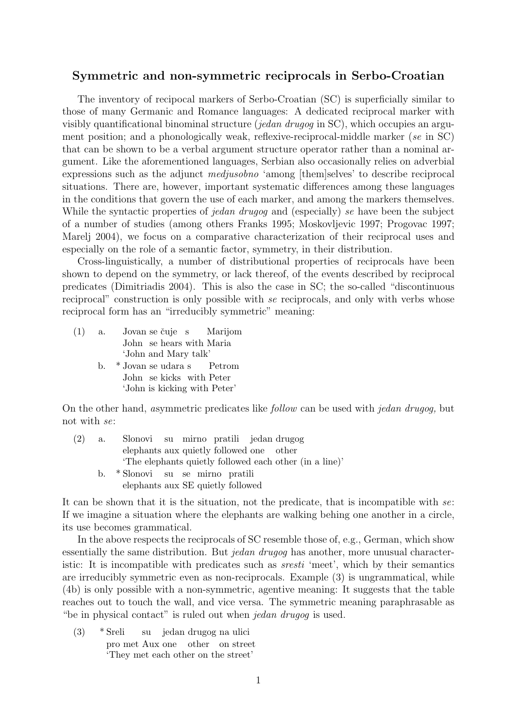## Symmetric and non-symmetric reciprocals in Serbo-Croatian

The inventory of recipocal markers of Serbo-Croatian (SC) is superficially similar to those of many Germanic and Romance languages: A dedicated reciprocal marker with visibly quantificational binominal structure (jedan drugog in  $SC$ ), which occupies an argument position; and a phonologically weak, reflexive-reciprocal-middle marker (se in SC) that can be shown to be a verbal argument structure operator rather than a nominal argument. Like the aforementioned languages, Serbian also occasionally relies on adverbial expressions such as the adjunct medjusobno 'among [them]selves' to describe reciprocal situations. There are, however, important systematic differences among these languages in the conditions that govern the use of each marker, and among the markers themselves. While the syntactic properties of jedan drugog and (especially) se have been the subject of a number of studies (among others Franks 1995; Moskovljevic 1997; Progovac 1997; Marelj 2004), we focus on a comparative characterization of their reciprocal uses and especially on the role of a semantic factor, symmetry, in their distribution.

Cross-linguistically, a number of distributional properties of reciprocals have been shown to depend on the symmetry, or lack thereof, of the events described by reciprocal predicates (Dimitriadis 2004). This is also the case in SC; the so-called "discontinuous reciprocal" construction is only possible with se reciprocals, and only with verbs whose reciprocal form has an "irreducibly symmetric" meaning:

| (1) | a. Jovan se čuje s Marijom   |  |  |
|-----|------------------------------|--|--|
|     | John se hears with Maria     |  |  |
|     | 'John and Mary talk'         |  |  |
|     | b. * Jovan se udara s Petrom |  |  |

John se kicks with Peter 'John is kicking with Peter'

On the other hand, asymmetric predicates like follow can be used with jedan drugog, but not with se:

| (2) | a. | Slonovi su mirno pratili jedan drugog                 |  |
|-----|----|-------------------------------------------------------|--|
|     |    | elephants aux quietly followed one other              |  |
|     |    | The elephants quietly followed each other (in a line) |  |
|     | b. | *Slonovi su se mirno pratili                          |  |
|     |    | elephants aux SE quietly followed                     |  |

It can be shown that it is the situation, not the predicate, that is incompatible with se: If we imagine a situation where the elephants are walking behing one another in a circle, its use becomes grammatical.

In the above respects the reciprocals of SC resemble those of, e.g., German, which show essentially the same distribution. But *jedan drugog* has another, more unusual characteristic: It is incompatible with predicates such as sresti 'meet', which by their semantics are irreducibly symmetric even as non-reciprocals. Example (3) is ungrammatical, while (4b) is only possible with a non-symmetric, agentive meaning: It suggests that the table reaches out to touch the wall, and vice versa. The symmetric meaning paraphrasable as "be in physical contact" is ruled out when jedan drugog is used.

 $(3)$  \* Sreli pro met Aux one other on street su jedan drugog na ulici 'They met each other on the street'